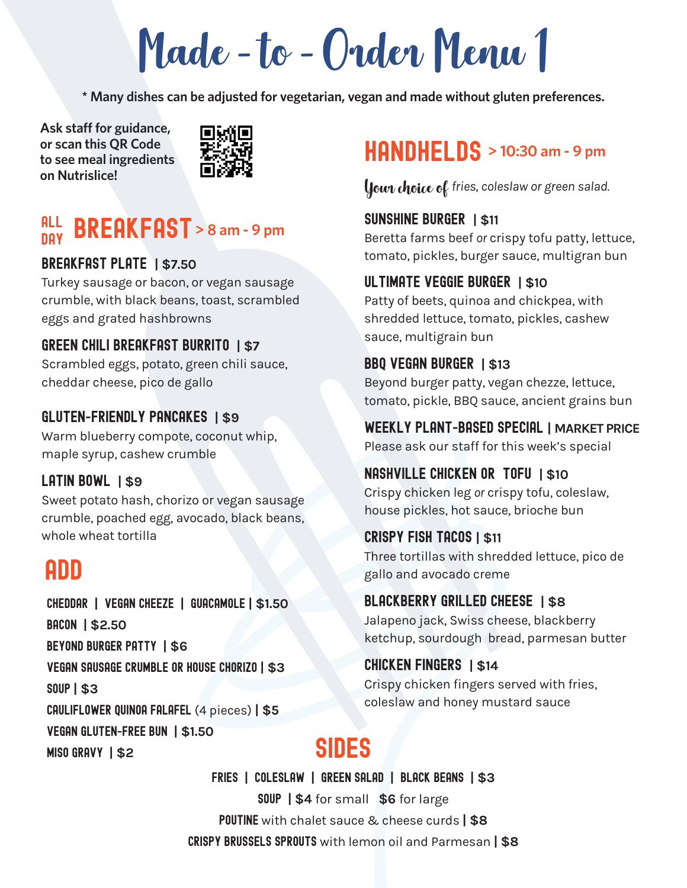Made-to-Order Menu 1

**\* Many dishes can be adjusted for vegetarian, vegan and made without gluten preferences.** 

 **Ask staff for guidance, or scan this QR Code to see meal ingredients on Nutrislice!**



### **BREAKFAST** > 8 am - 9 pm all day

### breakfast PLATE **| \$7.50**

Turkey sausage or bacon, or vegan sausage crumble, with black beans, toast, scrambled eggs and grated hashbrowns

### GREEN CHILI BREAKFAST BURRITO **| \$7**

Scrambled eggs, potato, green chili sauce, cheddar cheese, pico de gallo

### Gluten**-**friendly pancakes **| \$9**

Warm blueberry compote, coconut whip, maple syrup, cashew crumble

## LATIN BOWL **| \$9**

Sweet potato hash, chorizo or vegan sausage crumble, poached egg, avocado, black beans, whole wheat tortilla

## ADD

Cheddar **|** Vegan cheeze **|** Guacamole **| \$1.50** Bacon **| \$2.50** Beyond burger patty **| \$6** Vegan sausage crumble or house chorizo **| \$3** soup **| \$3** Cauliflower Quinoa falafel (4 pieces) **| \$5** Vegan gluten**-**free bun **| \$1.50** MISO GRAVY 1 \$2

## **HANDHELDS** > 10:30 am - 9 pm

Your choice of *fries, coleslaw or green salad.* 

### sunshine burger **| \$11**

Beretta farms beef *or* crispy tofu patty, lettuce, tomato, pickles, burger sauce, multigran bun

### ultimate veggie burger **| \$10**

Patty of beets, quinoa and chickpea, with shredded lettuce, tomato, pickles, cashew sauce, multigrain bun

BBQ VEGAN burger **| \$13** Beyond burger patty, vegan chezze, lettuce, tomato, pickle, BBQ sauce, ancient grains bun

WeEKLY Plant**-**based special **| MARKET PRICE** Please ask our staff for this week's special

### nashville chicken or TOFU **| \$10**

Crispy chicken leg *or* crispy tofu, coleslaw, house pickles, hot sauce, brioche bun

### crispy fish tacos **| \$11**

Three tortillas with shredded lettuce, pico de gallo and avocado creme

### blackberry grilled cheese **| \$8**

Jalapeno jack, Swiss cheese, blackberry ketchup, sourdough bread, parmesan butter

### chicken fingers **| \$14**

Crispy chicken fingers served with fries, coleslaw and honey mustard sauce

Fries **|** Coleslaw **|** Green Salad **|** Black beans **| \$3** soup **| \$4** for small **\$6** for large **POUTINE** with chalet sauce & cheese curds | \$8 Crispy Brussels Sprouts with lemon oil and Parmesan **| \$8**